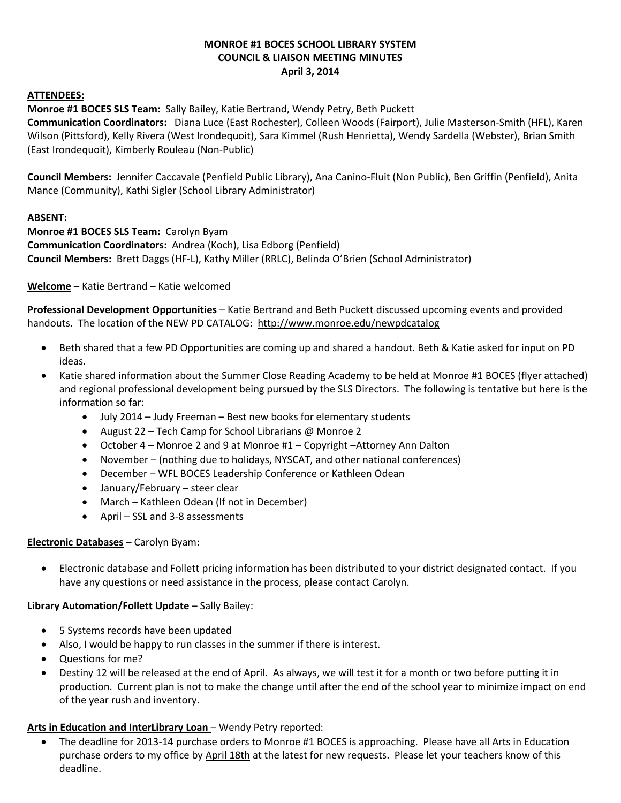### **MONROE #1 BOCES SCHOOL LIBRARY SYSTEM COUNCIL & LIAISON MEETING MINUTES April 3, 2014**

#### **ATTENDEES:**

**Monroe #1 BOCES SLS Team:** Sally Bailey, Katie Bertrand, Wendy Petry, Beth Puckett

**Communication Coordinators:** Diana Luce (East Rochester), Colleen Woods (Fairport), Julie Masterson-Smith (HFL), Karen Wilson (Pittsford), Kelly Rivera (West Irondequoit), Sara Kimmel (Rush Henrietta), Wendy Sardella (Webster), Brian Smith (East Irondequoit), Kimberly Rouleau (Non-Public)

**Council Members:** Jennifer Caccavale (Penfield Public Library), Ana Canino-Fluit (Non Public), Ben Griffin (Penfield), Anita Mance (Community), Kathi Sigler (School Library Administrator)

### **ABSENT:**

**Monroe #1 BOCES SLS Team:** Carolyn Byam **Communication Coordinators:** Andrea (Koch), Lisa Edborg (Penfield) **Council Members:** Brett Daggs (HF-L), Kathy Miller (RRLC), Belinda O'Brien (School Administrator)

**Welcome** – Katie Bertrand – Katie welcomed

**Professional Development Opportunities** – Katie Bertrand and Beth Puckett discussed upcoming events and provided handouts. The location of the NEW PD CATALOG: <http://www.monroe.edu/newpdcatalog>

- Beth shared that a few PD Opportunities are coming up and shared a handout. Beth & Katie asked for input on PD ideas.
- Katie shared information about the Summer Close Reading Academy to be held at Monroe #1 BOCES (flyer attached) and regional professional development being pursued by the SLS Directors. The following is tentative but here is the information so far:
	- July 2014 Judy Freeman Best new books for elementary students
	- August 22 Tech Camp for School Librarians @ Monroe 2
	- October 4 Monroe 2 and 9 at Monroe #1 Copyright –Attorney Ann Dalton
	- November (nothing due to holidays, NYSCAT, and other national conferences)
	- December WFL BOCES Leadership Conference or Kathleen Odean
	- January/February steer clear
	- March Kathleen Odean (If not in December)
	- April SSL and 3-8 assessments

### **Electronic Databases** – Carolyn Byam:

 Electronic database and Follett pricing information has been distributed to your district designated contact. If you have any questions or need assistance in the process, please contact Carolyn.

### **Library Automation/Follett Update** – Sally Bailey:

- 5 Systems records have been updated
- Also, I would be happy to run classes in the summer if there is interest.
- Questions for me?
- Destiny 12 will be released at the end of April. As always, we will test it for a month or two before putting it in production. Current plan is not to make the change until after the end of the school year to minimize impact on end of the year rush and inventory.

### **Arts in Education and InterLibrary Loan** – Wendy Petry reported:

 The deadline for 2013-14 purchase orders to Monroe #1 BOCES is approaching. Please have all Arts in Education purchase orders to my office by April 18th at the latest for new requests. Please let your teachers know of this deadline.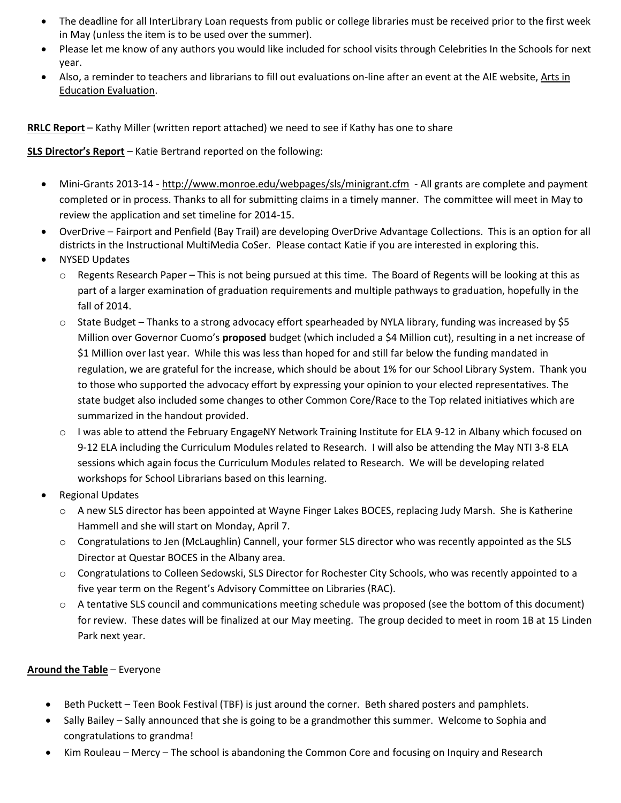- The deadline for all InterLibrary Loan requests from public or college libraries must be received prior to the first week in May (unless the item is to be used over the summer).
- Please let me know of any authors you would like included for school visits through Celebrities In the Schools for next year.
- Also, a reminder to teachers and librarians to fill out evaluations on-line after an event at the AIE website, [Arts in](https://spreadsheets.google.com/spreadsheet/viewform?formkey=dE1TVUpBc0xWSUs1bjlLd05fWFlPY0E6MQ&theme=0AX42CRMsmRFbUy1hMWQ3Y2YyMC00ZjczLTQ1MjgtYmQ3My1hMjZkNTdmODJjODg&ifq)  [Education Evaluation.](https://spreadsheets.google.com/spreadsheet/viewform?formkey=dE1TVUpBc0xWSUs1bjlLd05fWFlPY0E6MQ&theme=0AX42CRMsmRFbUy1hMWQ3Y2YyMC00ZjczLTQ1MjgtYmQ3My1hMjZkNTdmODJjODg&ifq)

**RRLC Report** – Kathy Miller (written report attached) we need to see if Kathy has one to share

**SLS Director's Report** – Katie Bertrand reported on the following:

- Mini-Grants 2013-14 <http://www.monroe.edu/webpages/sls/minigrant.cfm> All grants are complete and payment completed or in process. Thanks to all for submitting claims in a timely manner. The committee will meet in May to review the application and set timeline for 2014-15.
- OverDrive Fairport and Penfield (Bay Trail) are developing OverDrive Advantage Collections. This is an option for all districts in the Instructional MultiMedia CoSer. Please contact Katie if you are interested in exploring this.
- NYSED Updates
	- $\circ$  Regents Research Paper This is not being pursued at this time. The Board of Regents will be looking at this as part of a larger examination of graduation requirements and multiple pathways to graduation, hopefully in the fall of 2014.
	- o State Budget Thanks to a strong advocacy effort spearheaded by NYLA library, funding was increased by \$5 Million over Governor Cuomo's **proposed** budget (which included a \$4 Million cut), resulting in a net increase of \$1 Million over last year. While this was less than hoped for and still far below the funding mandated in regulation, we are grateful for the increase, which should be about 1% for our School Library System. Thank you to those who supported the advocacy effort by expressing your opinion to your elected representatives. The state budget also included some changes to other Common Core/Race to the Top related initiatives which are summarized in the handout provided.
	- o I was able to attend the February EngageNY Network Training Institute for ELA 9-12 in Albany which focused on 9-12 ELA including the Curriculum Modules related to Research. I will also be attending the May NTI 3-8 ELA sessions which again focus the Curriculum Modules related to Research. We will be developing related workshops for School Librarians based on this learning.
- Regional Updates
	- o A new SLS director has been appointed at Wayne Finger Lakes BOCES, replacing Judy Marsh. She is Katherine Hammell and she will start on Monday, April 7.
	- o Congratulations to Jen (McLaughlin) Cannell, your former SLS director who was recently appointed as the SLS Director at Questar BOCES in the Albany area.
	- o Congratulations to Colleen Sedowski, SLS Director for Rochester City Schools, who was recently appointed to a five year term on the Regent's Advisory Committee on Libraries (RAC).
	- o A tentative SLS council and communications meeting schedule was proposed (see the bottom of this document) for review. These dates will be finalized at our May meeting. The group decided to meet in room 1B at 15 Linden Park next year.

# **Around the Table** – Everyone

- Beth Puckett Teen Book Festival (TBF) is just around the corner. Beth shared posters and pamphlets.
- Sally Bailey Sally announced that she is going to be a grandmother this summer. Welcome to Sophia and congratulations to grandma!
- Kim Rouleau Mercy The school is abandoning the Common Core and focusing on Inquiry and Research